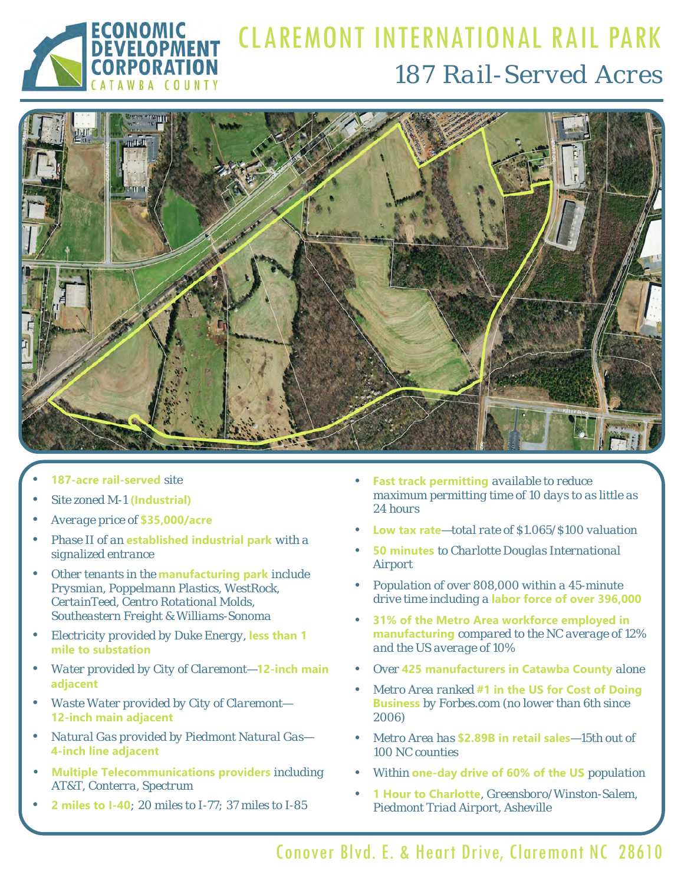

## CLAREMONT INTERNATIONAL RAIL PARK *187 Rail-Served Acres*



- **187-acre rail-served** *site*
- *Site zoned M-1* **(Industrial)**
- *Average price of* **\$35,000/acre**
- *Phase II of an* **established industrial park** *with a signalized entrance*
- *Other tenants in the* **manufacturing park** *include Prysmian, Poppelmann Plastics, WestRock, CertainTeed, Centro Rotational Molds, Southeastern Freight & Williams-Sonoma*
- *Electricity provided by Duke Energy,* **less than 1 mile to substation**
- *Water provided by City of Claremont—***12-inch main adjacent**
- *Waste Water provided by City of Claremont—*  **12-inch main adjacent**
- *Natural Gas provided by Piedmont Natural Gas—*  **4-inch line adjacent**
- **Multiple Telecommunications providers** *including AT&T, Conterra, Spectrum*
- **2 miles to I-40***; 20 miles to I-77; 37 miles to I-85*
- **Fast track permitting** *available to reduce maximum permitting time of 10 days to as little as 24 hours*
- **Low tax rate***—total rate of \$1.065/\$100 valuation*
- **50 minutes** *to Charlotte Douglas International Airport*
- *Population of over 808,000 within a 45-minute drive time including a* **labor force of over 396,000**
- **31% of the Metro Area workforce employed in manufacturing** *compared to the NC average of 12% and the US average of 10%*
- *Over* **425 manufacturers in Catawba County** *alone*
- *Metro Area ranked* **#1 in the US for Cost of Doing Business** *by Forbes.com (no lower than 6th since 2006)*
- *Metro Area has* **\$2.89B in retail sales***—15th out of 100 NC counties*
- *Within* **one-day drive of 60% of the US** *population*
- **1 Hour to Charlotte***, Greensboro/Winston-Salem, Piedmont Triad Airport, Asheville*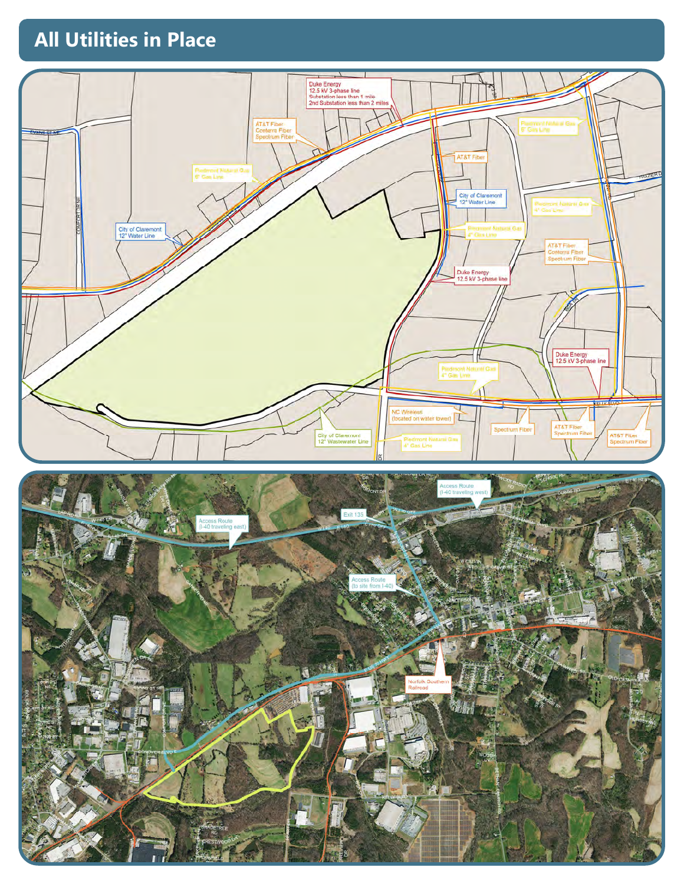## **All Utilities in Place All Utilities in Place**



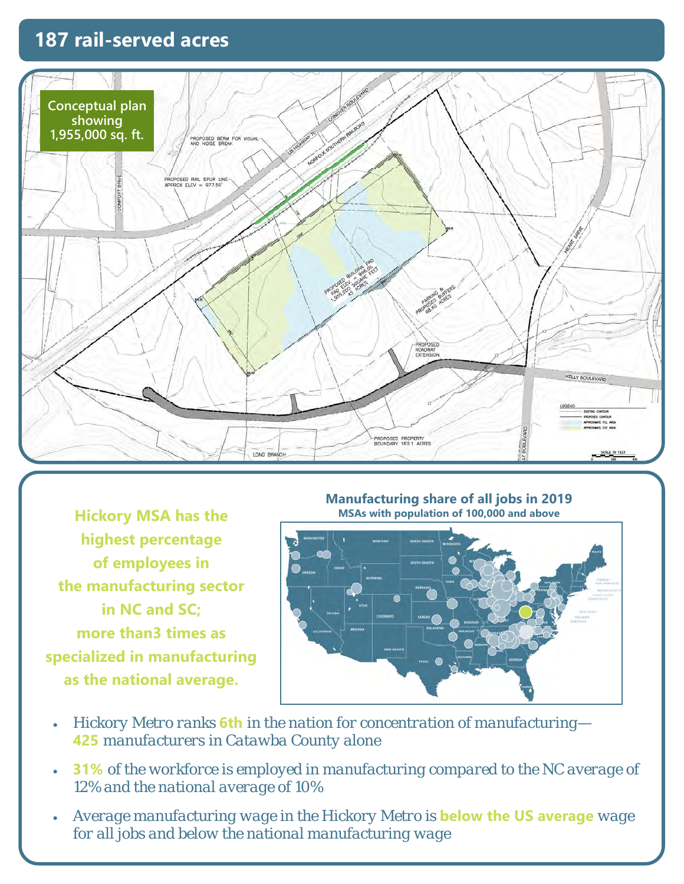## **187 rail-served acres**



**Hickory MSA has the highest percentage of employees in the manufacturing sector in NC and SC; more than3 times as specialized in manufacturing as the national average.**

**Manufacturing share of all jobs in 2019 MSAs with population of 100,000 and above** 



- *Hickory Metro ranks* **6th** *in the nation for concentration of manufacturing—*  **425** *manufacturers in Catawba County alone*
- **31%** *of the workforce is employed in manufacturing compared to the NC average of 12% and the national average of 10%*
- *Average manufacturing wage in the Hickory Metro is* **below the US average** *wage for all jobs and below the national manufacturing wage*